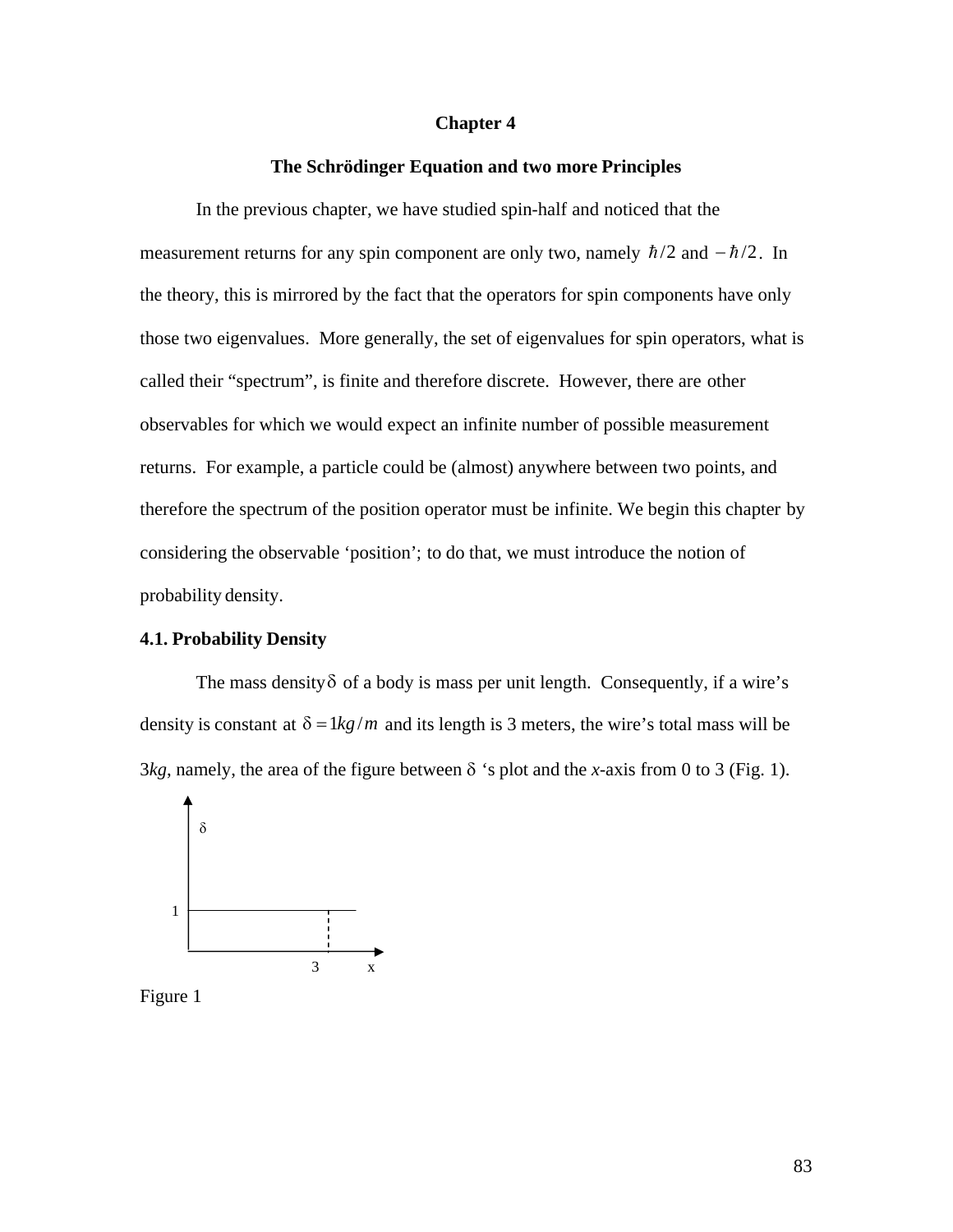#### **Chapter 4**

#### **The Schrödinger Equation and two more Principles**

In the previous chapter, we have studied spin-half and noticed that the measurement returns for any spin component are only two, namely  $\hbar/2$  and  $-\hbar/2$ . In those two eigenvalues. More generally, the set of eigenvalues for spin operators, what is the theory, this is mirrored by the fact that the operators for spin components have only called their "spectrum", is finite and therefore discrete. However, there are other observables for which we would expect an infinite number of possible measurement returns. For example, a particle could be (almost) anywhere between two points, and therefore the spectrum of the position operator must be infinite. We begin this chapter by considering the observable 'position'; to do that, we must introduce the notion of probability density.

#### **4.1. Probability Density**

The mass density  $\delta$  of a body is mass per unit length. Consequently, if a wire's density is constant at  $\delta = 1 \frac{kg}{m}$  and its length is 3 meters, the wire's total mass will be  $3kg$ , namely, the area of the figure between  $\delta$  's plot and the *x*-axis from 0 to 3 (Fig. 1).



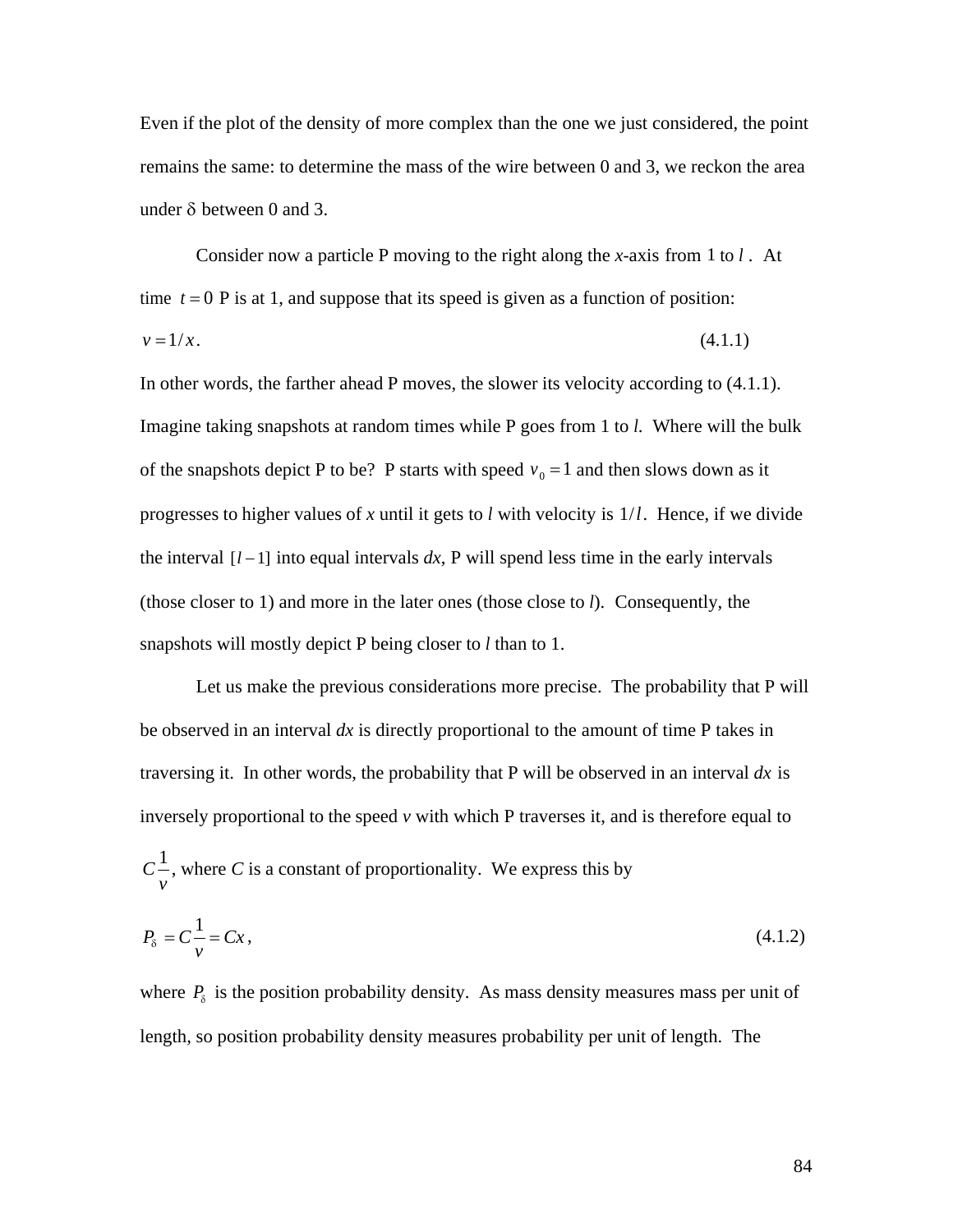Even if the plot of the density of more complex than the one we just considered, the point remains the same: to determine the mass of the wire between 0 and 3, we reckon the area under  $\delta$  between 0 and 3.

Consider now a particle P moving to the right along the *x*-axis from 1 to *l* . At time  $t = 0$  P is at 1, and suppose that its speed is given as a function of position:  $v = 1/x$ . (4.1.1)

In other words, the farther ahead P moves, the slower its velocity according to (4.1.1). Imagine taking snapshots at random times while P goes from 1 to *l*. Where will the bulk of the snapshots depict P to be? P starts with speed  $v_0 = 1$  and then slows down as it progresses to higher values of *x* until it gets to *l* with velocity is 1/*l*. Hence, if we divide (those closer to 1) and more in the later ones (those close to  $l$ ). Consequently, the the interval  $\left[ l-1 \right]$  into equal intervals  $dx$ , P will spend less time in the early intervals † snapshots will mostly depict P being closer to *l* than to 1.

Let us make the previous considerations more precise. The probability that P will be observed in an interval *dx* is directly proportional to the amount of time P takes in traversing it. In other words, the probability that P will be observed in an interval *dx* is inversely proportional to the speed *v* with which P traverses it, and is therefore equal to  $C^{\frac{1}{2}}$ , where C *v*<sup>2</sup> , where *C* is a constant of proportionality. We express this by

$$
P_{\delta} = C \frac{1}{\nu} = C x, \tag{4.1.2}
$$

where  $P_{\delta}$  is the position probability density. As mass density measures mass per unit of length, so position probability density measures probability per unit of length. The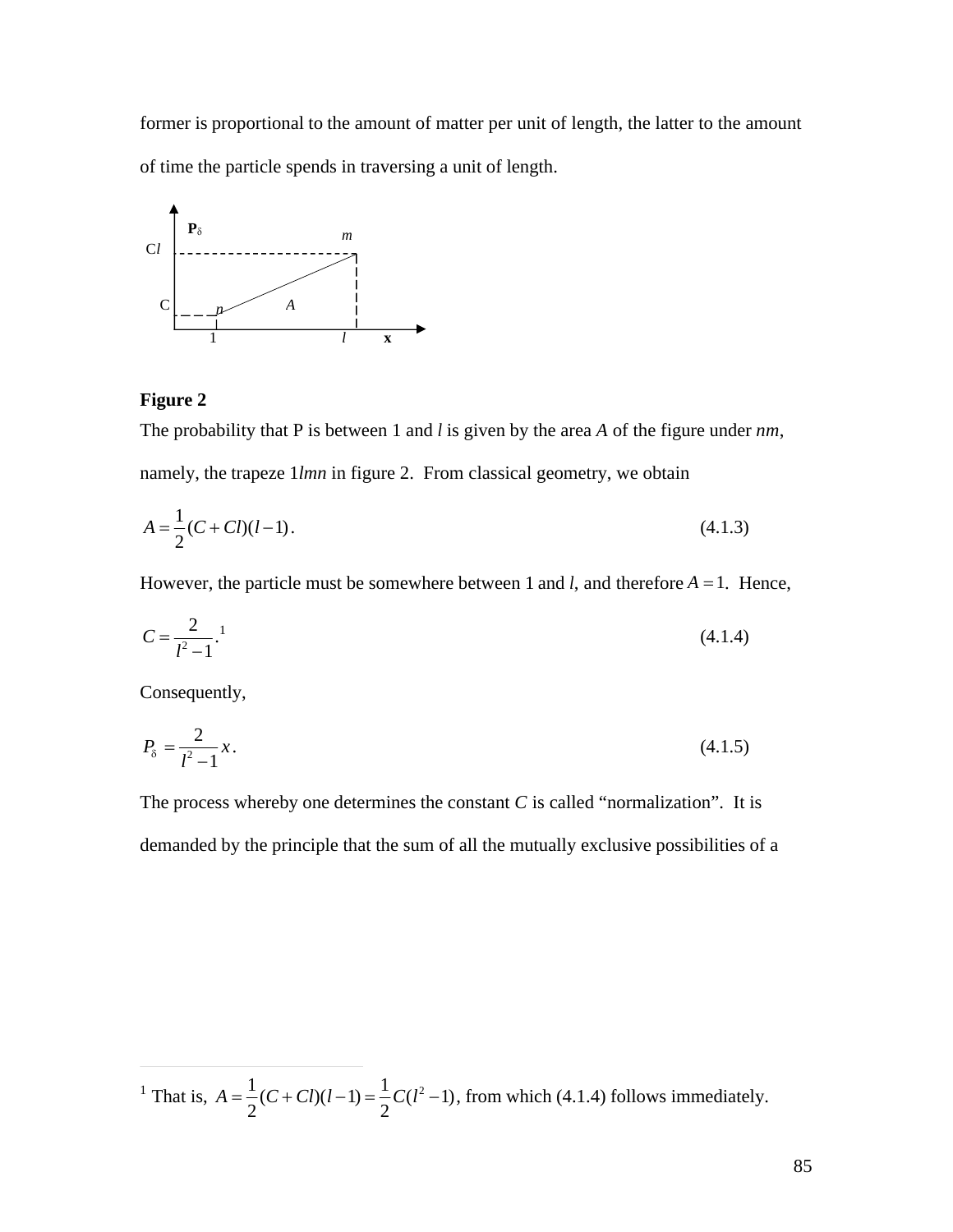former is proportional to the amount of matter per unit of length, the latter to the amount of time the particle spends in traversing a unit of length.



## **Figure 2**

The probability that P is between 1 and *l* is given by the area *A* of the figure under *nm*, namely, the trapeze 1*lmn* in figure 2. From classical geometry, we obtain

$$
A = \frac{1}{2}(C + Cl)(l - 1). \tag{4.1.3}
$$

However, the particle must be somewhere between 1 and *l*, and therefore  $A = 1$ . Hence,

$$
C = \frac{2}{l^2 - 1}.
$$
 (4.1.4)

Consequently,

 $\overline{a}$ 

$$
P_{\delta} = \frac{2}{l^2 - 1} x. \tag{4.1.5}
$$

The process whereby one determines the constant  $C$  is called "normalization". It is demanded by the principle that the sum of all the mutually exclusive possibilities of a

<sup>&</sup>lt;sup>1</sup> That is,  $A = \frac{1}{2}(C + Cl)$  $2^{\sim}$  $(C + Cl)(l-1) = \frac{1}{2}C(l^2-1)$  $2^{\sim}$  $C(l^2-1)$ , from which (4.1.4) follows immediately.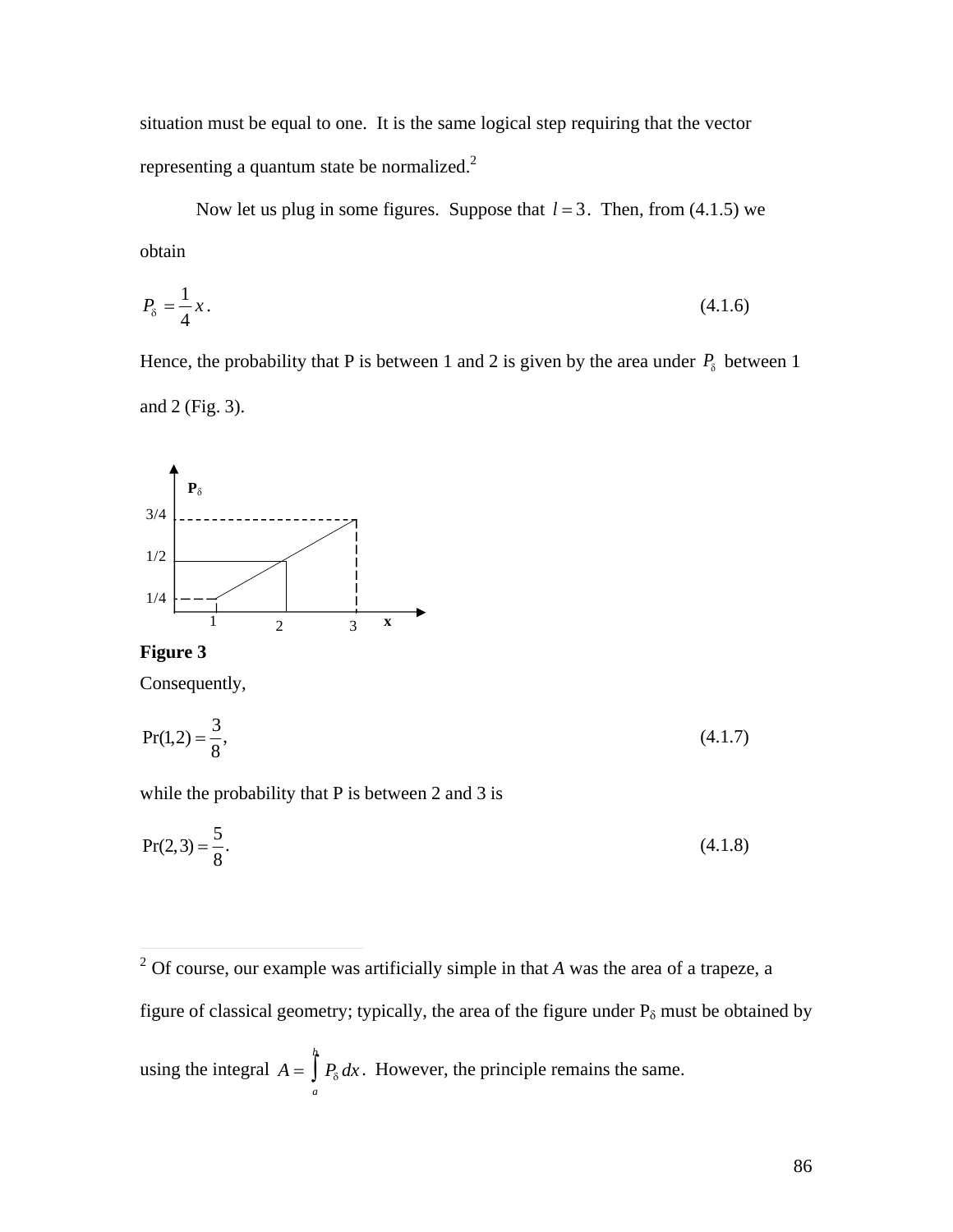situation must be equal to one. It is the same logical step requiring that the vector representing a quantum state be normalized.<sup>2</sup>

Now let us plug in some figures. Suppose that  $l = 3$ . Then, from (4.1.5) we obtain

$$
P_{\delta} = \frac{1}{4}x.\tag{4.1.6}
$$

Hence, the probability that P is between 1 and 2 is given by the area under  $P_{\delta}$  between 1 and 2 (Fig. 3).



**Figure 3**

Consequently,

$$
Pr(1,2) = \frac{3}{8},\tag{4.1.7}
$$

while the probability that P is between 2 and 3 is

$$
Pr(2,3) = \frac{5}{8}.
$$
\n(4.1.8)

<sup>&</sup>lt;sup>2</sup> Of course, our example was artificially simple in that *A* was the area of a trapeze, a figure of classical geometry; typically, the area of the figure under  $P_{\delta}$  must be obtained by using the integral  $A = \int P_{\delta} dx$ . Howe *a*  $\int P_{\delta} dx$ . However, the principle remains the same.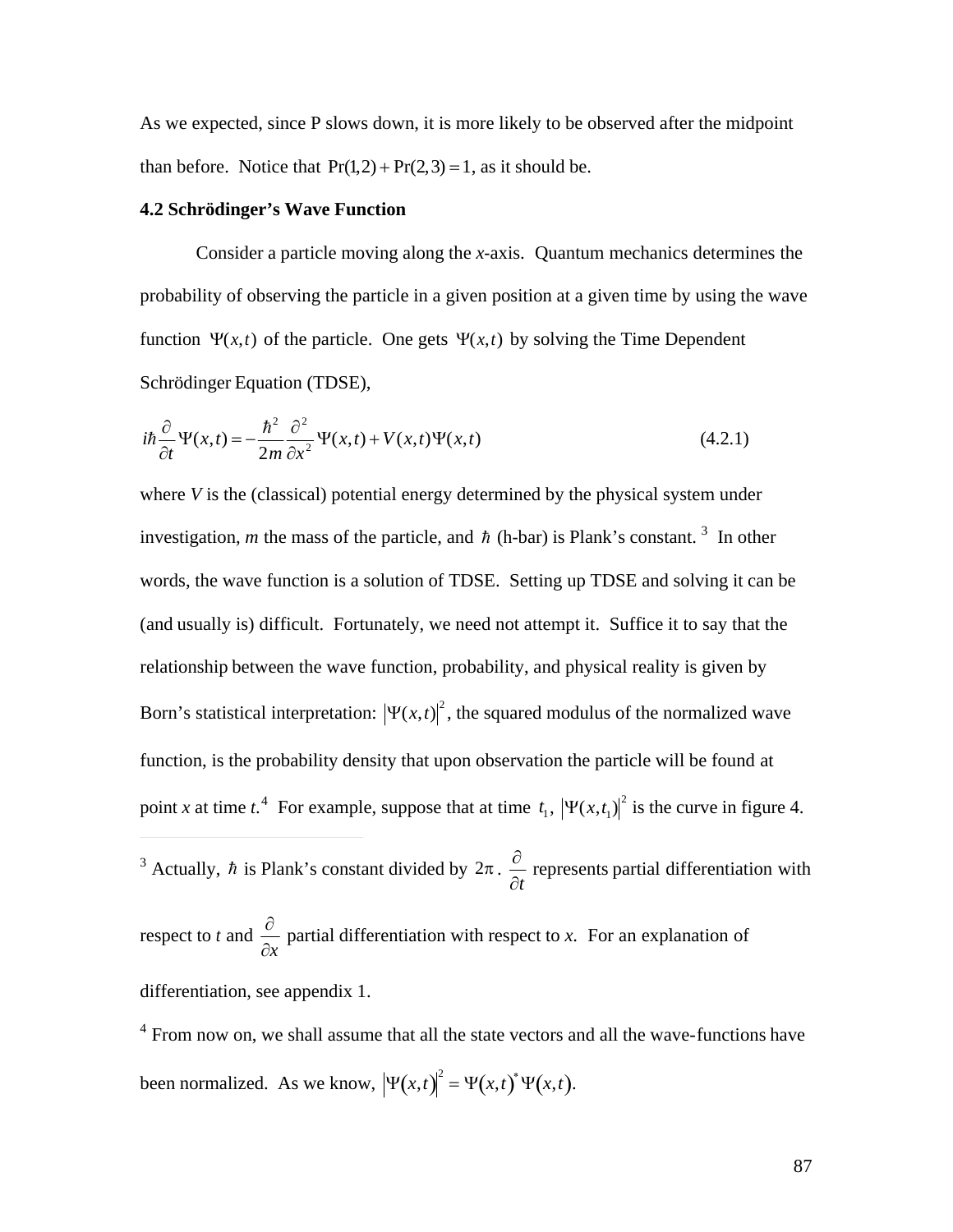As we expected, since P slows down, it is more likely to be observed after the midpoint than before. Notice that  $Pr(1,2) + Pr(2,3) = 1$ , as it should be.

#### **4.2 Schrödinger's Wave Function**

Consider a particle moving along the *x*-axis. Quantum mechanics determines the probability of observing the particle in a given position at a given time by using the wave function  $\Psi(x,t)$  of the particle. One gets  $\Psi(x,t)$  by solving the Time Dependent Schrödinger Equation (TDSE),

$$
i\hbar \frac{\partial}{\partial t} \Psi(x,t) = -\frac{\hbar^2}{2m} \frac{\partial^2}{\partial x^2} \Psi(x,t) + V(x,t) \Psi(x,t)
$$
\n(4.2.1)

where *V* is the (classical) potential energy determined by the physical system under investigation, *m* the mass of the particle, and  $\hbar$  (h-bar) is Plank's constant.<sup>3</sup> In other (and usually is) difficult. Fortunately, we need not attempt it. Suffice it to say that the words, the wave function is a solution of TDSE. Setting up TDSE and solving it can be relationship between the wave function, probability, and physical reality is given by Born's statistical interpretation:  $|\Psi(x,t)|^2$ , the squared modulus of the normalized wave point *x* at time *t*.<sup>4</sup> For example, suppose that at time  $t_1$ ,  $|\Psi(x,t_1)|^2$  is the curve in figure 4. function, is the probability density that upon observation the particle will be found at

 $\partial t$ <sup>3</sup> Actually, *h* is Plank's constant divided by  $2\pi \cdot \frac{\partial}{\partial x}$  represe  $\partial t$ <sup>*r*</sup> represents partial differentiation with

espect to  $\ell$  and  $\frac{1}{\partial r}$  partial differentiation respect to *t* and  $\frac{\partial}{\partial x}$  partial  $\partial x$ <sup>1</sup> partial differentiation with respect to *x*. For an explanation of

differentiation, see appendix 1.

 $\overline{a}$ 

 $4$  From now on, we shall assume that all the state vectors and all the wave-functions have been normalized. As we know,  $|\Psi(x,t)|^2 = \Psi(x,t)^* \Psi(x,t)$ .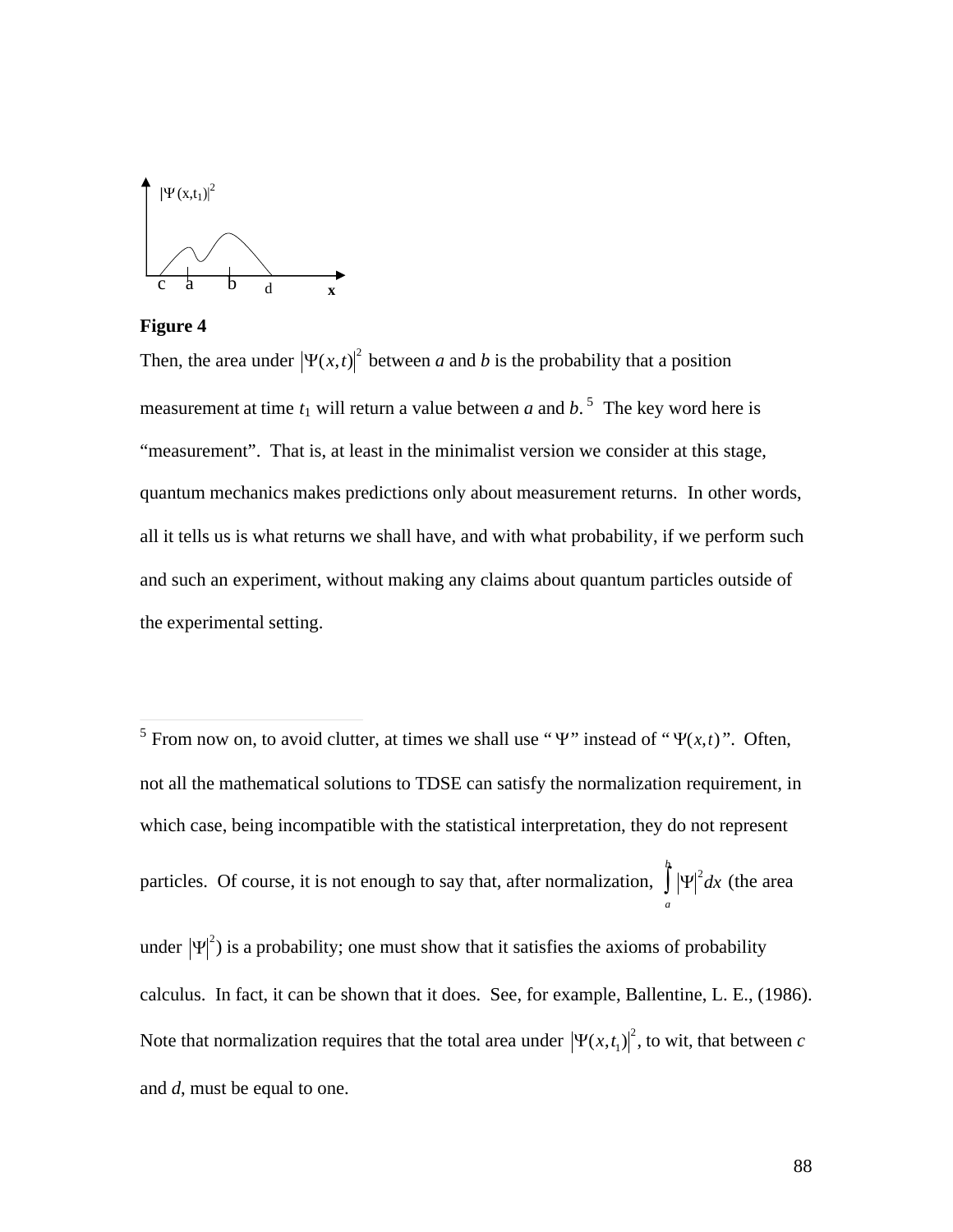



Then, the area under  $|\Psi(x,t)|^2$  between *a* and *b* is the probability that a position "measurement". That is, at least in the minimalist version we consider at this stage, measurement at time  $t_1$  will return a value between a and  $b$ .<sup>5</sup> The key word here is quantum mechanics makes predictions only about measurement returns. In other words, all it tells us is what returns we shall have, and with what probability, if we perform such and such an experiment, without making any claims about quantum particles outside of the experimental setting.

<sup>5</sup> From now on, to avoid clutter, at times we shall use " $\Psi$ " instead of " $\Psi(x,t)$ ". Often, not all the mathematical solutions to TDSE can satisfy the normalization requirement, in which case, being incompatible with the statistical interpretation, they do not represent particles. Of course, it is not enough to say that, after normalization,  $\int_{0}^{h} |\Psi|^2 dx$  (the area *a* under  $|\Psi|^2$ ) is a probability; one must show that it satisfies the axioms of probability Note that normalization requires that the total area under  $|\Psi(x,t_1)|^2$ , to wit, that between *c* calculus. In fact, it can be shown that it does. See, for example, Ballentine, L. E., (1986). and *d*, must be equal to one.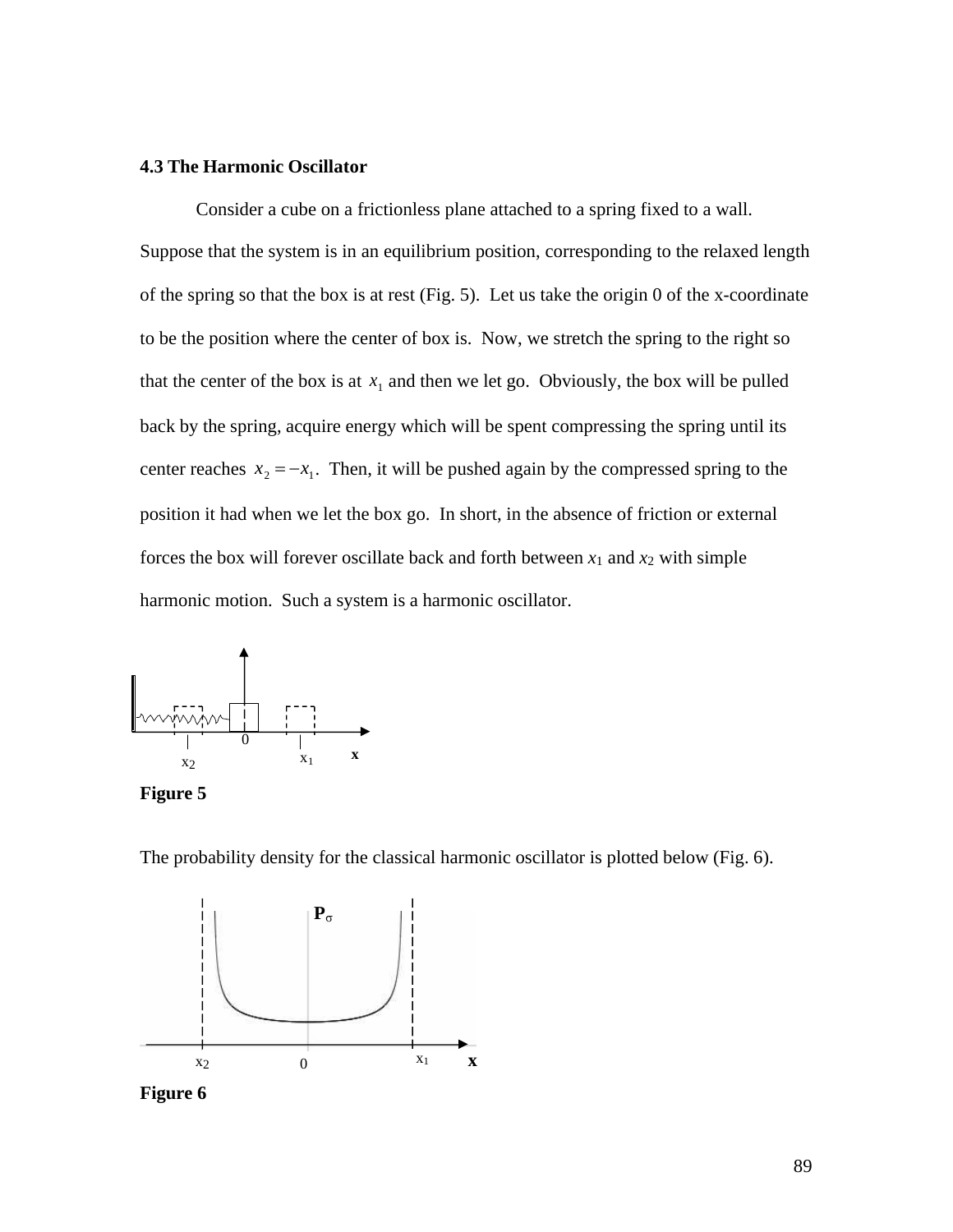## **4.3 The Harmonic Oscillator**

Consider a cube on a frictionless plane attached to a spring fixed to a wall. Suppose that the system is in an equilibrium position, corresponding to the relaxed length of the spring so that the box is at rest (Fig. 5). Let us take the origin 0 of the x-coordinate to be the position where the center of box is. Now, we stretch the spring to the right so that the center of the box is at  $x_1$  and then we let go. Obviously, the box will be pulled back by the spring, acquire energy which will be spent compressing the spring until its center reaches  $x_2 = -x_1$ . Then, it will be pushed again by the compressed spring to the forces the box will forever oscillate back and forth between  $x_1$  and  $x_2$  with simple position it had when we let the box go. In short, in the absence of friction or external harmonic motion. Such a system is a harmonic oscillator.



**Figure 5**

The probability density for the classical harmonic oscillator is plotted below (Fig. 6).



**Figure 6**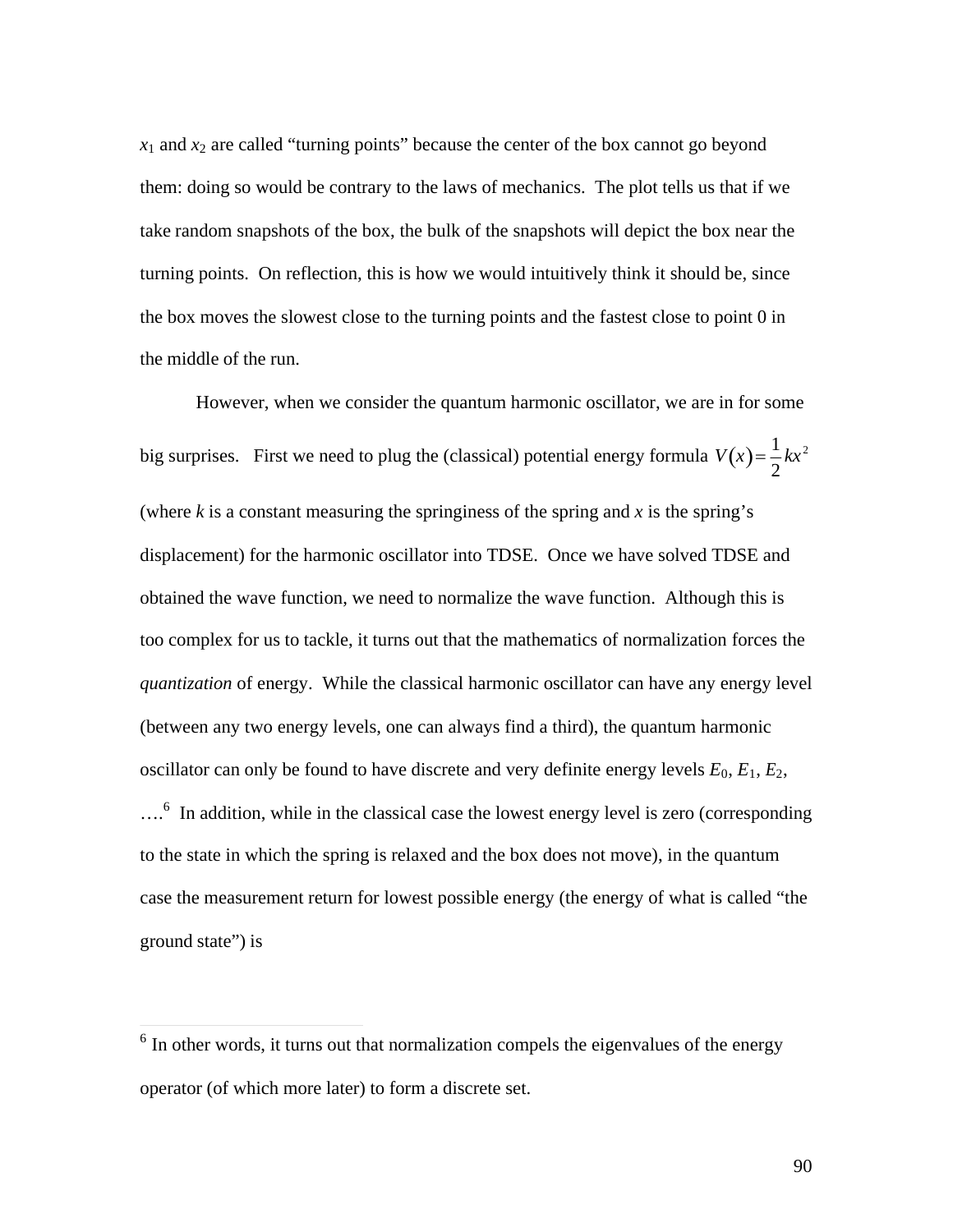$x_1$  and  $x_2$  are called "turning points" because the center of the box cannot go beyond them: doing so would be contrary to the laws of mechanics. The plot tells us that if we take random snapshots of the box, the bulk of the snapshots will depict the box near the turning points. On reflection, this is how we would intuitively think it should be, since the box moves the slowest close to the turning points and the fastest close to point 0 in the middle of the run.

However, when we consider the quantum harmonic oscillator, we are in for some big surprises. First we need to plug the (classical) potential energy formula  $V(x) = \frac{1}{2}kx^2$ displacement) for the harmonic oscillator into TDSE. Once we have solved TDSE and 2  $kx^2$ (where  $k$  is a constant measuring the springiness of the spring and  $x$  is the spring's obtained the wave function, we need to normalize the wave function. Although this is too complex for us to tackle, it turns out that the mathematics of normalization forces the *quantization* of energy. While the classical harmonic oscillator can have any energy level (between any two energy levels, one can always find a third), the quantum harmonic oscillator can only be found to have discrete and very definite energy levels  $E_0$ ,  $E_1$ ,  $E_2$ , ....<sup>6</sup> In addition, while in the classical case the lowest energy level is zero (corresponding to the state in which the spring is relaxed and the box does not move), in the quantum case the measurement return for lowest possible energy (the energy of what is called "the ground state") is

<sup>&</sup>lt;sup>6</sup> In other words, it turns out that normalization compels the eigenvalues of the energy operator (of which more later) to form a discrete set.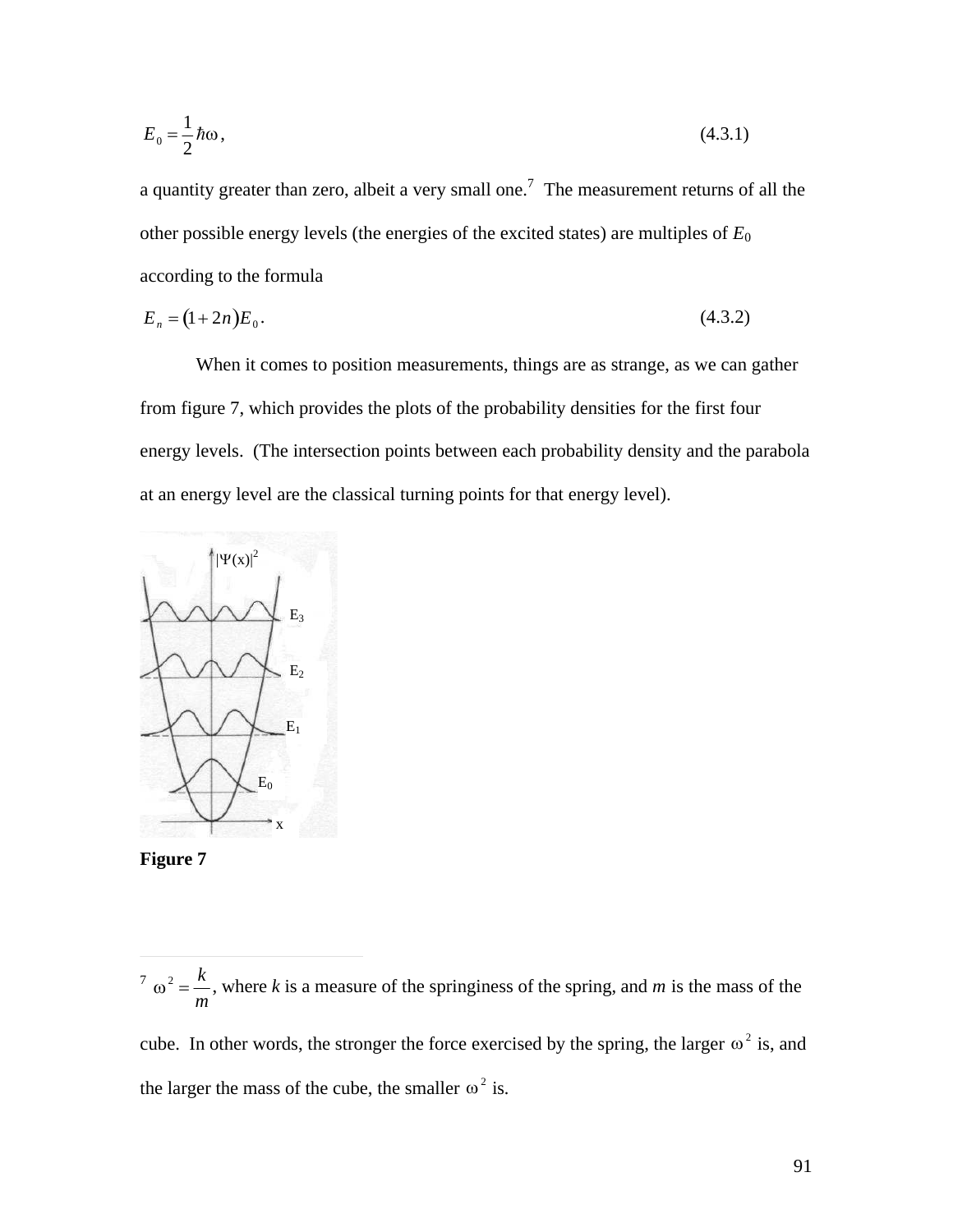$$
E_0 = \frac{1}{2}\hbar\omega\,,\tag{4.3.1}
$$

a quantity greater than zero, albeit a very small one.<sup>7</sup> The measurement returns of all the other possible energy levels (the energies of the excited states) are multiples of *E*<sup>0</sup> according to the formula

$$
E_n = (1 + 2n)E_0.
$$
\n(4.3.2)

When it comes to position measurements, things are as strange, as we can gather from figure 7, which provides the plots of the probability densities for the first four energy levels. (The intersection points between each probability density and the parabola at an energy level are the classical turning points for that energy level).





 $\overline{a}$ 

cube. In other words, the stronger the force exercised by the spring, the larger  $\omega^2$  is, and the larger the mass of the cube, the smaller  $\omega^2$  is.

 $\sigma^2 = \frac{k}{k}$ , where *m* , where *k* is a measure of the springiness of the spring, and *m* is the mass of the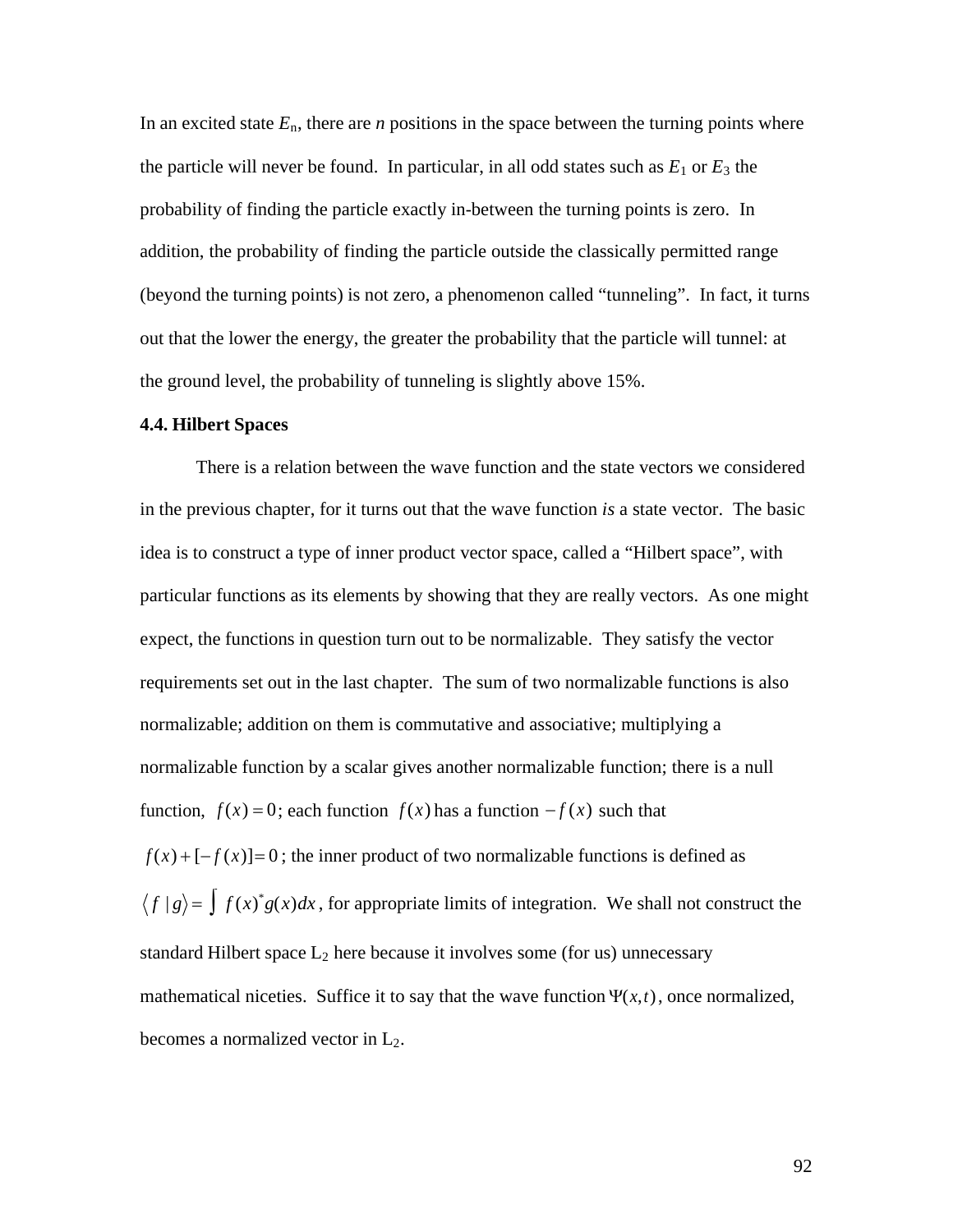In an excited state  $E_n$ , there are *n* positions in the space between the turning points where the particle will never be found. In particular, in all odd states such as  $E_1$  or  $E_3$  the probability of finding the particle exactly in-between the turning points is zero. In addition, the probability of finding the particle outside the classically permitted range (beyond the turning points) is not zero, a phenomenon called "tunneling". In fact, it turns out that the lower the energy, the greater the probability that the particle will tunnel: at the ground level, the probability of tunneling is slightly above 15%.

#### **4.4. Hilbert Spaces**

There is a relation between the wave function and the state vectors we considered in the previous chapter, for it turns out that the wave function *is* a state vector. The basic idea is to construct a type of inner product vector space, called a "Hilbert space", with particular functions as its elements by showing that they are really vectors. As one might expect, the functions in question turn out to be normalizable. They satisfy the vector requirements set out in the last chapter. The sum of two normalizable functions is also normalizable; addition on them is commutative and associative; multiplying a normalizable function by a scalar gives another normalizable function; there is a null function,  $f(x) = 0$ ; each function  $f(x)$  has a function  $-f(x)$  such that  $f(x) + [-f(x)] = 0$ ; the inner product of two normalizable functions is defined as  $f | g \rangle = \int f(x)^* g(x) dx$ , for appropriate limits of integration. We shall not construct the standard Hilbert space  $L_2$  here because it involves some (for us) unnecessary mathematical niceties. Suffice it to say that the wave function  $\Psi(x,t)$ , once normalized, becomes a normalized vector in  $L_2$ .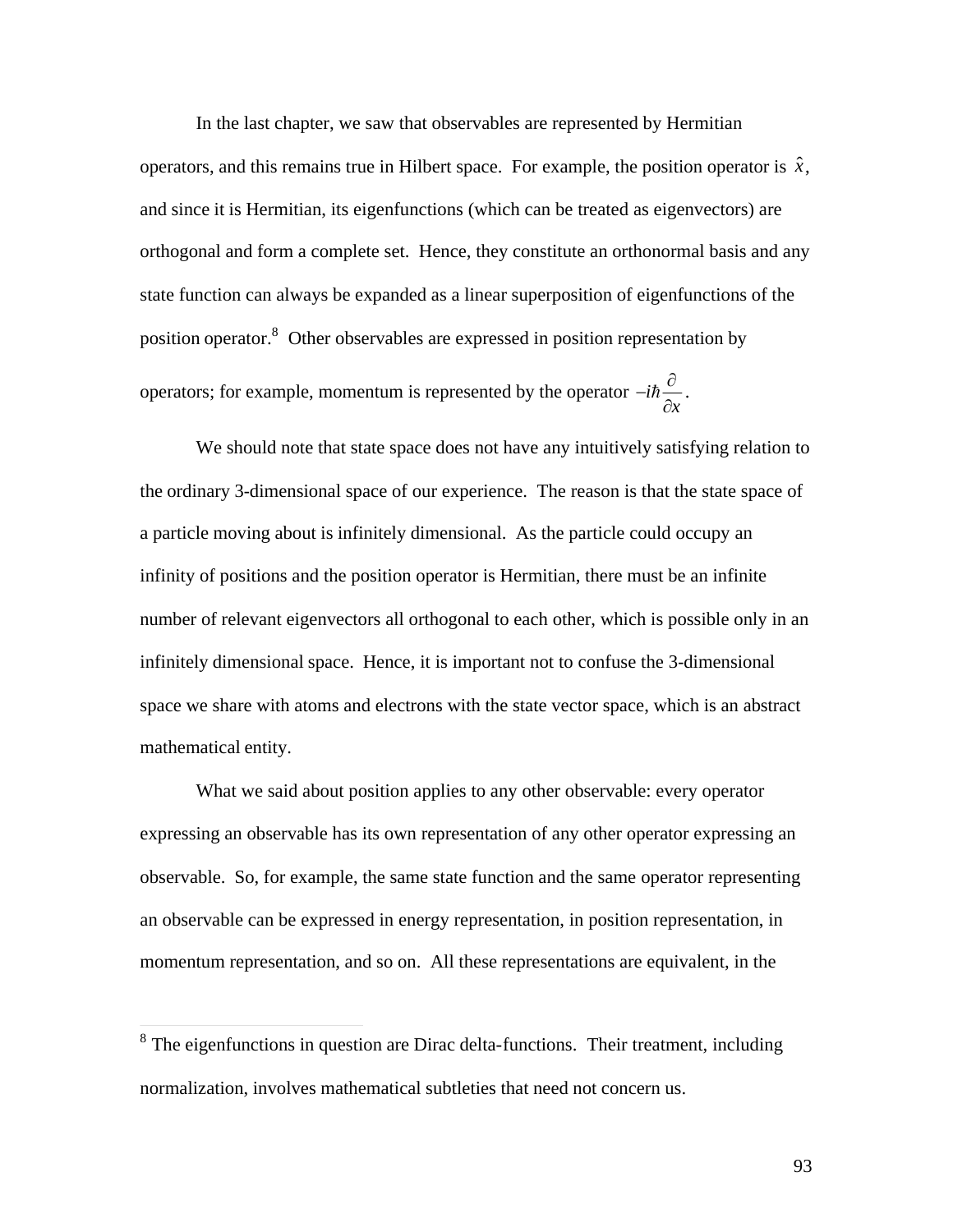In the last chapter, we saw that observables are represented by Hermitian operators, and this remains true in Hilbert space. For example, the position operator is  $\hat{x}$ , † orthogonal and form a complete set. Hence, they constitute an orthonormal basis and any and since it is Hermitian, its eigenfunctions (which can be treated as eigenvectors) are state function can always be expanded as a linear superposition of eigenfunctions of the position operator.<sup>8</sup> Other observables are expressed in position representation by operators; for example, momentum is represented by the operator  $-i\hbar \frac{\partial}{\partial x}$ .  $\partial x$ .

the ordinary 3-dimensional space of our experience. The reason is that the state space of We should note that state space does not have any intuitively satisfying relation to a particle moving about is infinitely dimensional. As the particle could occupy an infinity of positions and the position operator is Hermitian, there must be an infinite number of relevant eigenvectors all orthogonal to each other, which is possible only in an infinitely dimensional space. Hence, it is important not to confuse the 3-dimensional space we share with atoms and electrons with the state vector space, which is an abstract mathematical entity.

What we said about position applies to any other observable: every operator expressing an observable has its own representation of any other operator expressing an observable. So, for example, the same state function and the same operator representing an observable can be expressed in energy representation, in position representation, in momentum representation, and so on. All these representations are equivalent, in the

<sup>&</sup>lt;sup>8</sup> The eigenfunctions in question are Dirac delta-functions. Their treatment, including normalization, involves mathematical subtleties that need not concern us.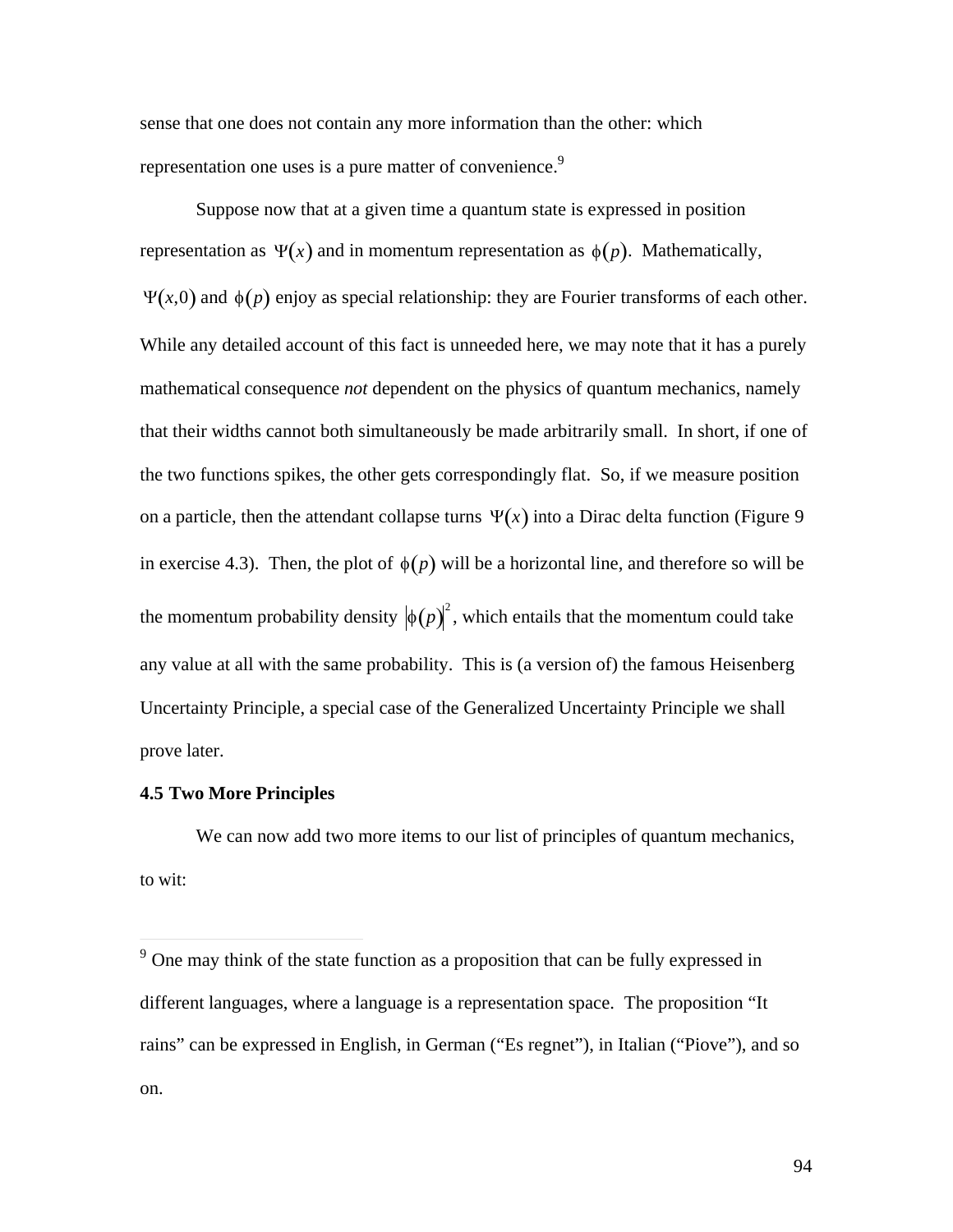sense that one does not contain any more information than the other: which representation one uses is a pure matter of convenience.<sup>9</sup>

Suppose now that at a given time a quantum state is expressed in position representation as  $\Psi(x)$  and in momentum representation as  $\phi(p)$ . Mathematically, † †  $\Psi(x,0)$  and  $\phi(p)$  enjoy as special relationship: they are Fourier transforms of each other. mathematical consequence *not* dependent on the physics of quantum mechanics, namely While any detailed account of this fact is unneeded here, we may note that it has a purely that their widths cannot both simultaneously be made arbitrarily small. In short, if one of the two functions spikes, the other gets correspondingly flat. So, if we measure position on a particle, then the attendant collapse turns  $\Psi(x)$  into a Dirac delta function (Figure 9)  $\frac{1}{2}$ in exercise 4.3). Then, the plot of  $\phi(p)$  will be a horizontal line, and therefore so will be the momentum probability density  $\big|\phi(p)\big|^2$ , which entails that the momentum could take Uncertainty Principle, a special case of the Generalized Uncertainty Principle we shall any value at all with the same probability. This is (a version of) the famous Heisenberg prove later.

#### **4.5 Two More Principles**

 $\overline{a}$ 

We can now add two more items to our list of principles of quantum mechanics, to wit:

<sup>&</sup>lt;sup>9</sup> One may think of the state function as a proposition that can be fully expressed in different languages, where a language is a representation space. The proposition "It rains" can be expressed in English, in German ("Es regnet"), in Italian ("Piove"), and so on.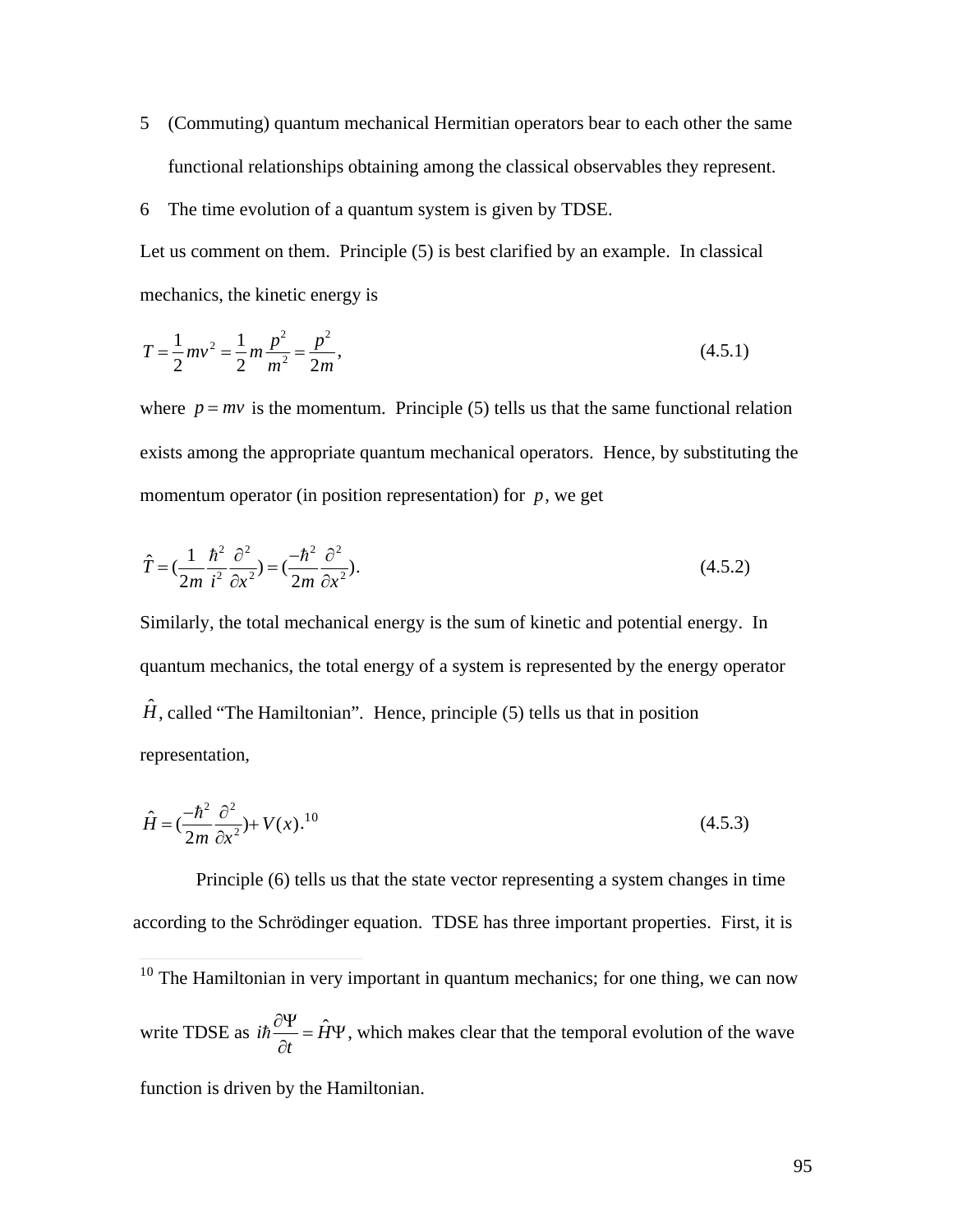- 5 (Commuting) quantum mechanical Hermitian operators bear to each other the same functional relationships obtaining among the classical observables they represent.
- 6 The time evolution of a quantum system is given by TDSE.

Let us comment on them. Principle (5) is best clarified by an example. In classical mechanics, the kinetic energy is

$$
T = \frac{1}{2}mv^2 = \frac{1}{2}m\frac{p^2}{m^2} = \frac{p^2}{2m},
$$
\n(4.5.1)

where  $p = mv$  is the momentum. Principle (5) tells us that the same functional relation momentum operator (in position representation) for  $p$ , we get exists among the appropriate quantum mechanical operators. Hence, by substituting the

$$
\hat{T} = \left(\frac{1}{2m}\frac{\hbar^2}{i^2}\frac{\partial^2}{\partial x^2}\right) = \left(\frac{-\hbar^2}{2m}\frac{\partial^2}{\partial x^2}\right).
$$
\n(4.5.2)

Similarly, the total mechanical energy is the sum of kinetic and potential energy. In quantum mechanics, the total energy of a system is represented by the energy operator  $\hat{H}$ , called "The Hamiltonian". Hence, principle (5) tells us that in position representation,

$$
\hat{H} = \left(\frac{-\hbar^2}{2m}\frac{\partial^2}{\partial x^2}\right) + V(x).^{10}
$$
\n(4.5.3)

Principle (6) tells us that the state vector representing a system changes in time according to the Schrödinger equation. TDSE has three important properties. First, it is

 $\overline{a}$  $10$  The Hamiltonian in very important in quantum mechanics; for one thing, we can now write TDSE as  $i\hbar \frac{\partial \Psi}{\partial t} = \hat{H}\Psi$ , which makes clear that the temporal evolution of the wave

function is driven by the Hamiltonian.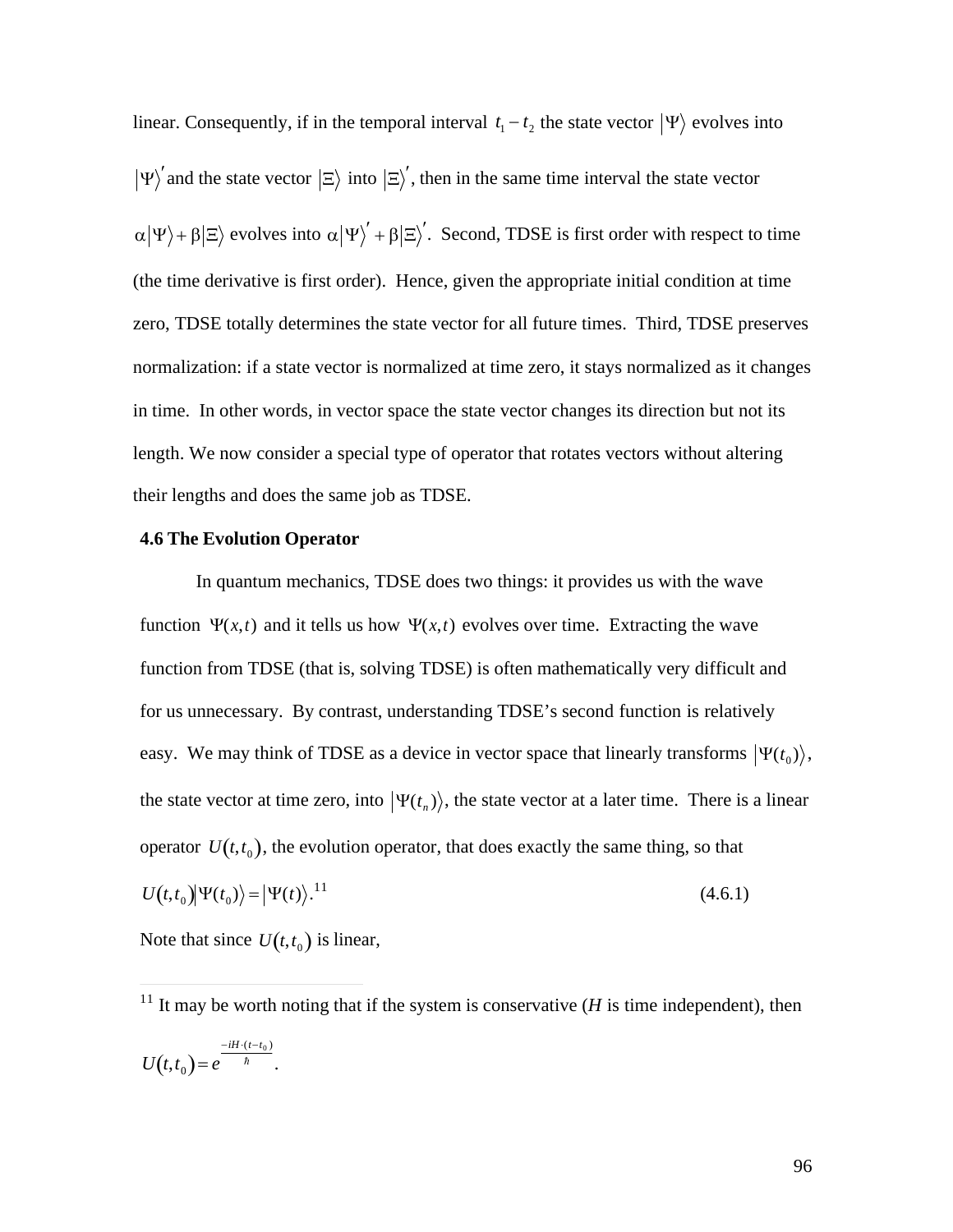linear. Consequently, if in the temporal interval  $t_1 - t_2$  the state vector  $|\Psi\rangle$  evolves into  $\Psi'$  and the state vector  $|\Xi\rangle$  into  $|\Xi'\rangle'$ , then in the same time interval the state vector  $\alpha|\Psi\rangle + \beta|\Xi\rangle$  evolves into  $\alpha|\Psi\rangle' + \beta|\Xi\rangle'$ . Second, TDSE is first order with respect to time zero, TDSE totally determines the state vector for all future times. Third, TDSE preserves (the time derivative is first order). Hence, given the appropriate initial condition at time normalization: if a state vector is normalized at time zero, it stays normalized as it changes in time. In other words, in vector space the state vector changes its direction but not its length. We now consider a special type of operator that rotates vectors without altering their lengths and does the same job as TDSE.

### **4.6 The Evolution Operator**

In quantum mechanics, TDSE does two things: it provides us with the wave function  $\Psi(x,t)$  and it tells us how  $\Psi(x,t)$  evolves over time. Extracting the wave function from TDSE (that is, solving TDSE) is often mathematically very difficult and for us unnecessary. By contrast, understanding TDSE's second function is relatively easy. We may think of TDSE as a device in vector space that linearly transforms  $|\Psi(t_0)\rangle$ , operator  $U(t, t_0)$ , the evolution operator, that does exactly the same thing, so that the state vector at time zero, into  $|\Psi(t_n)\rangle$ , the state vector at a later time. There is a linear  $U(t,t_0) \Psi(t_0) \rangle = |\Psi(t) \rangle^{11}$  $(4.6.1)$ 

Note that since  $U(t,t_0)$  is linear,

 $\overline{a}$ 

 $\mathcal{L}$ <sup>11</sup> It may be worth noting that if the system is conservative ( $H$  is time independent), then  $U(t,t_0) = e^{-\hbar}$  .  $-iH \cdot (t - t_0)$  $\hbar$  .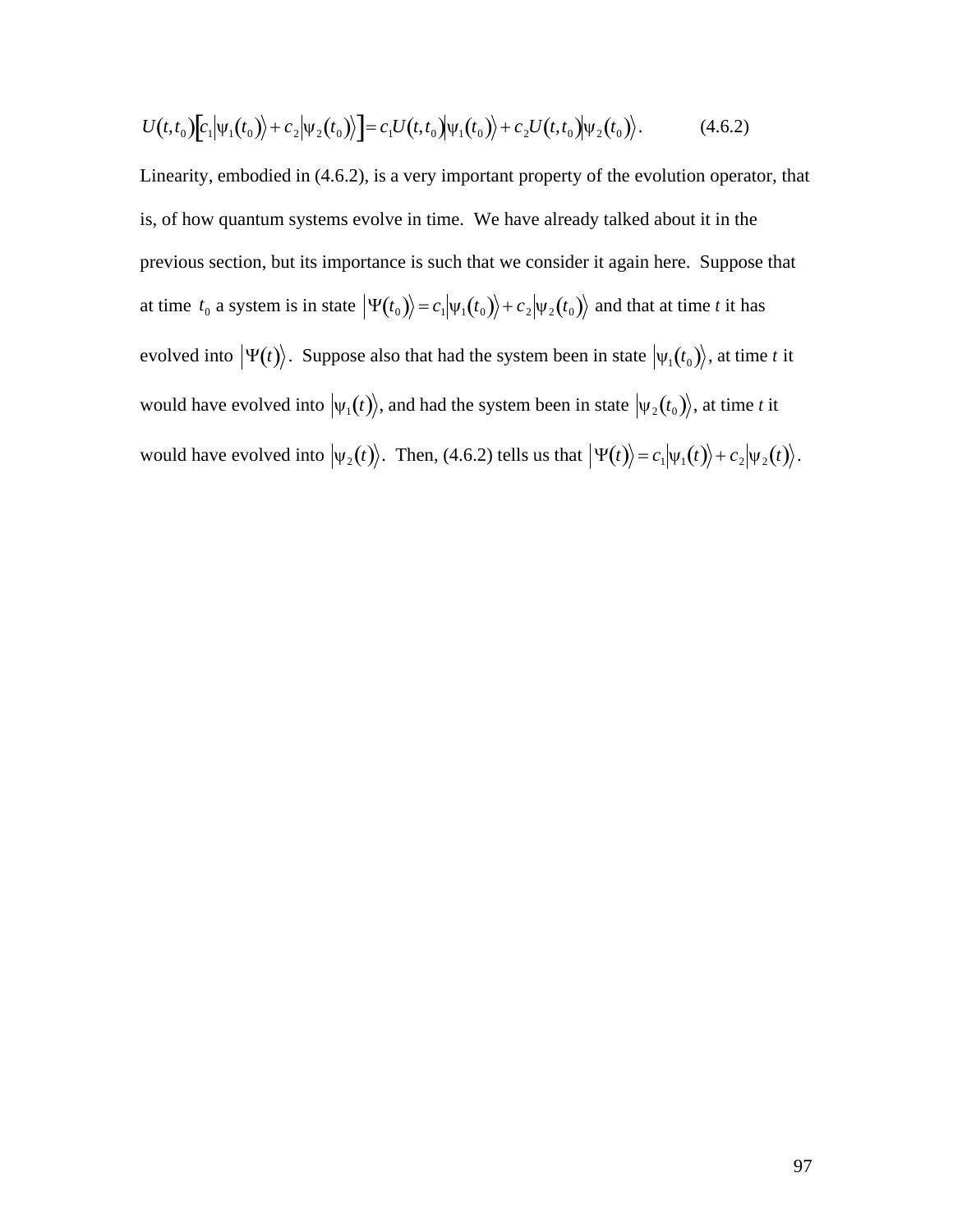$$
U(t,t_0)[c_1|\Psi_1(t_0)\rangle + c_2|\Psi_2(t_0)\rangle] = c_1U(t,t_0)|\Psi_1(t_0)\rangle + c_2U(t,t_0)|\Psi_2(t_0)\rangle.
$$
 (4.6.2)

Linearity, embodied in (4.6.2), is a very important property of the evolution operator, that is, of how quantum systems evolve in time. We have already talked about it in the previous section, but its importance is such that we consider it again here. Suppose that at time  $t_0$  a system is in state  $|\Psi(t_0)\rangle = c_1 |\psi_1(t_0)\rangle + c_2 |\psi_2(t_0)\rangle$  and that at time *t* it has  $\frac{1}{2}$   $\frac{1}{2}$   $\frac{1}{2}$   $\frac{1}{2}$   $\frac{1}{2}$   $\frac{1}{2}$   $\frac{1}{2}$   $\frac{1}{2}$   $\frac{1}{2}$   $\frac{1}{2}$   $\frac{1}{2}$   $\frac{1}{2}$   $\frac{1}{2}$   $\frac{1}{2}$   $\frac{1}{2}$   $\frac{1}{2}$   $\frac{1}{2}$   $\frac{1}{2}$   $\frac{1}{2}$   $\frac{1}{2}$   $\frac{1}{2}$   $\frac{1}{2}$  evolved into  $|\Psi(t)\rangle$ . Suppose also that had the system been in state  $|\psi_1(t_0)\rangle$ , at time *t* it  $\begin{pmatrix} 1 & 1 & 1 & 1 \\ 1 & 1 & 1 & 1 \end{pmatrix}$   $\begin{pmatrix} 1 & 1 & 1 \\ 1 & 1 & 1 \end{pmatrix}$ would have evolved into  $|\psi_1(t)\rangle$ , and had the system been in state  $|\psi_2(t_0)\rangle$ , at time *t* it would have evolved into  $|\psi_2(t)\rangle$ . Then, (4.6.2) tells us that  $|\Psi(t)\rangle = c_1|\psi_1(t)\rangle + c_2|\psi_2(t)\rangle$ .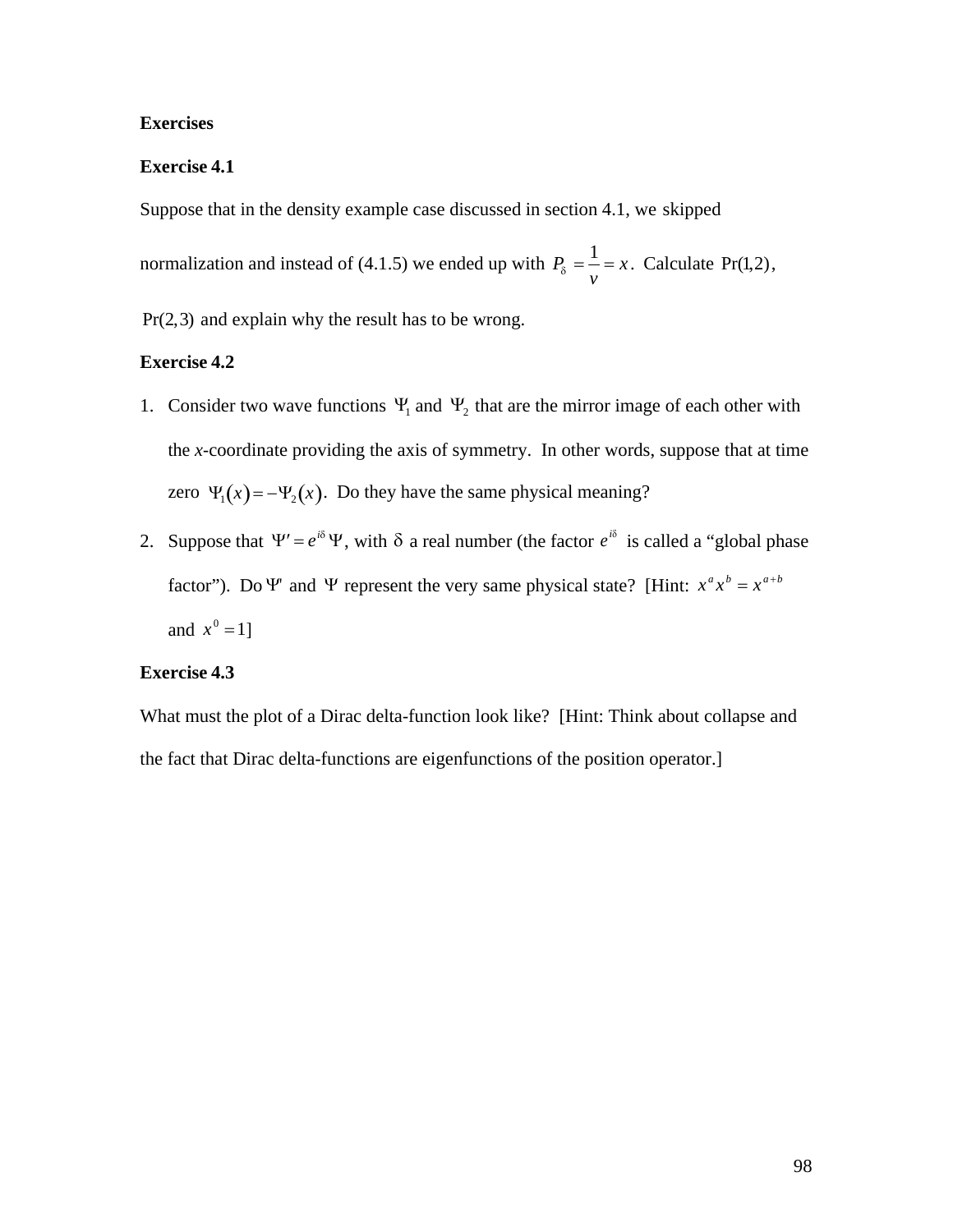# **Exercises**

# **Exercise 4.1**

Suppose that in the density example case discussed in section 4.1, we skipped

normalization and instead of (4.1.5) we ended up with  $P_{\delta} = \frac{1}{v} = x$ . Calculate Pr(1,2),

Pr(2,3) and explain why the result has to be wrong.

# **Exercise 4.2**

- 1. Consider two wave functions  $\Psi_1$  and  $\Psi_2$  that are the mirror image of each other with zero  $\Psi_1(x) = -\Psi_2(x)$ . Do they have the same physical meaning? the *x*-coordinate providing the axis of symmetry. In other words, suppose that at time
- factor"). Do  $\Psi$  and  $\Psi$  represent the very same physical state? [Hint:  $x^a x^b = x^{a+b}$ 2. Suppose that  $\Psi' = e^{i\delta} \Psi$ , with  $\delta$  a real number (the factor  $e^{i\delta}$  is called a "global phase  $\begin{array}{cc} 0 & 1 \end{array}$ and  $x^0 = 1$ ]

# **Exercise 4.3**

What must the plot of a Dirac delta-function look like? [Hint: Think about collapse and the fact that Dirac delta-functions are eigenfunctions of the position operator.]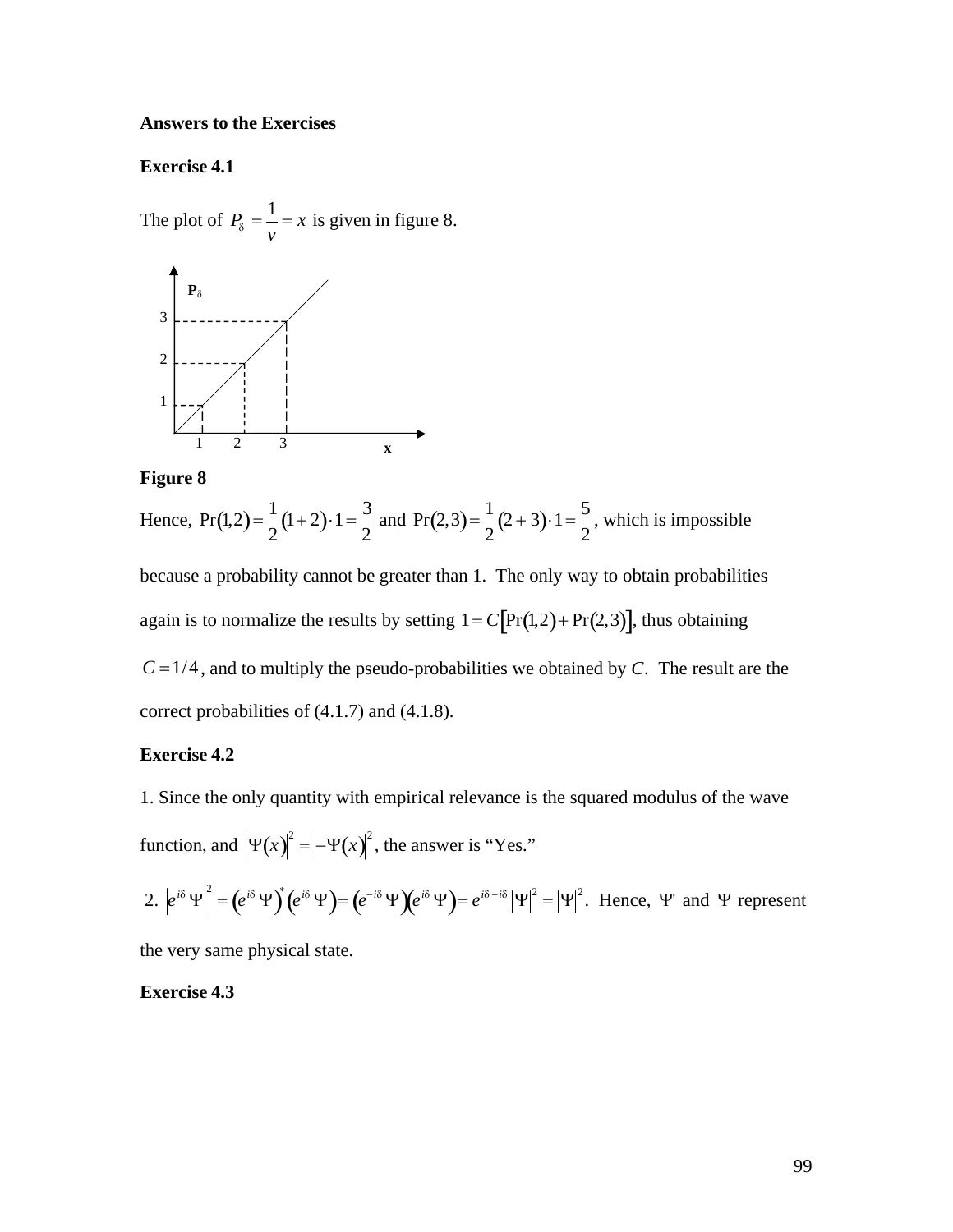### **Answers to the Exercises**

## **Exercise 4.1**

The plot of  $P_{\delta} = \frac{1}{v} = x$  is given in figure 8.  $3$  – – – 1 1 3 **x**  $\mathbf{P}_{\delta}$  $\mathcal{L}$ 2

**Figure 8**

Hence,  $Pr(1,2) = \frac{1}{2}(1+2) \cdot 1$  $\frac{1}{2}(1+2)\cdot 1 = \frac{3}{2}$  and Pr( 2<sup>2</sup> and  $Pr(2,3) = \frac{1}{2}(2+3) \cdot 1$  $\frac{1}{2}(2+3)\cdot 1 = \frac{5}{2}$ , which i 2 , which is impossible

again is to normalize the results by setting  $1 = C[\Pr(1,2) + \Pr(2,3)]$ , thus obtaining because a probability cannot be greater than 1. The only way to obtain probabilities correct probabilities of  $(4.1.7)$  and  $(4.1.8)$ .  $C = 1/4$ , and to multiply the pseudo-probabilities we obtained by *C*. The result are the

## **Exercise 4.2**

1. Since the only quantity with empirical relevance is the squared modulus of the wave function, and  $|\Psi(x)|^2 = |\Psi(x)|^2$ , the answer is "Yes."

2. 
$$
|e^{i\delta}\Psi|^2 = (e^{i\delta}\Psi)^*(e^{i\delta}\Psi) = (e^{-i\delta}\Psi)(e^{i\delta}\Psi) = e^{i\delta - i\delta}|\Psi|^2 = |\Psi|^2
$$
. Hence,  $\Psi$  and  $\Psi$  represent

the very same physical state.

# **Exercise 4.3**